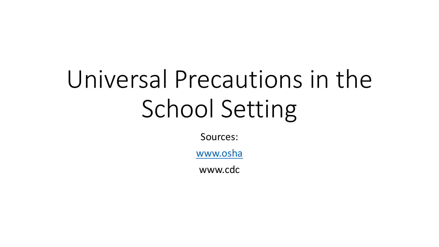# Universal Precautions in the School Setting

Sources:

www.osha

www.cdc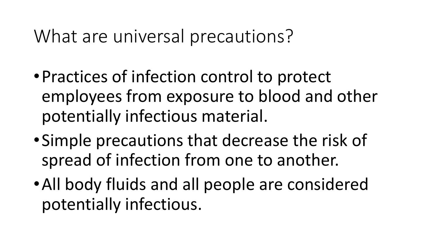## What are universal precautions?

- •Practices of infection control to protect employees from exposure to blood and other potentially infectious material.
- •Simple precautions that decrease the risk of spread of infection from one to another.
- •All body fluids and all people are considered potentially infectious.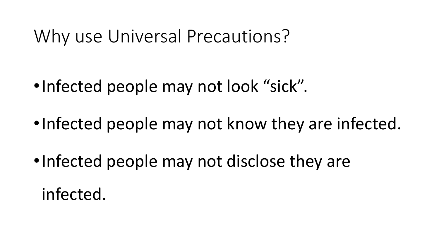#### Why use Universal Precautions?

- •Infected people may not look "sick".
- •Infected people may not know they are infected.
- •Infected people may not disclose they are infected.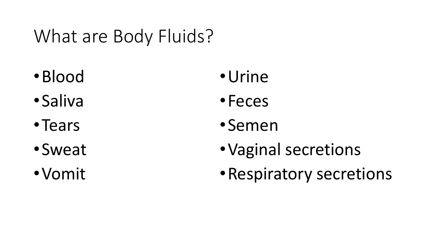# What are Body Fluids?

- •Blood
- •Saliva
- •Tears
- •Sweat
- •Vomit
- •Urine
- •Feces
- •Semen
- •Vaginal secretions
- •Respiratory secretions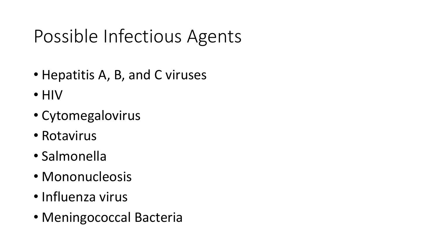# Possible Infectious Agents

- Hepatitis A, B, and C viruses
- HIV
- Cytomegalovirus
- Rotavirus
- Salmonella
- Mononucleosis
- Influenza virus
- Meningococcal Bacteria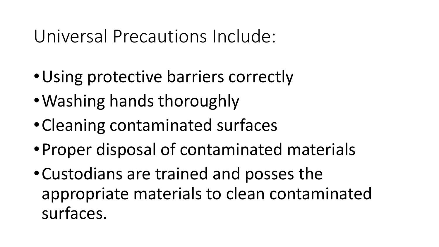## Universal Precautions Include:

- •Using protective barriers correctly
- •Washing hands thoroughly
- •Cleaning contaminated surfaces
- •Proper disposal of contaminated materials
- •Custodians are trained and posses the appropriate materials to clean contaminated surfaces.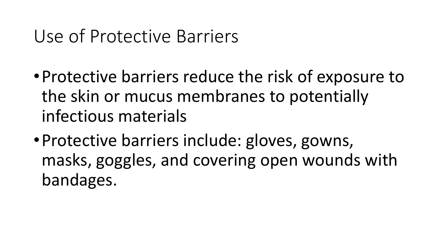## Use of Protective Barriers

- •Protective barriers reduce the risk of exposure to the skin or mucus membranes to potentially infectious materials
- •Protective barriers include: gloves, gowns, masks, goggles, and covering open wounds with bandages.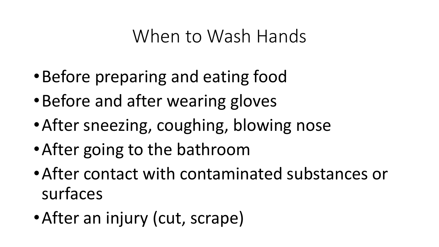#### When to Wash Hands

- •Before preparing and eating food
- •Before and after wearing gloves
- •After sneezing, coughing, blowing nose
- •After going to the bathroom
- •After contact with contaminated substances or surfaces
- •After an injury (cut, scrape)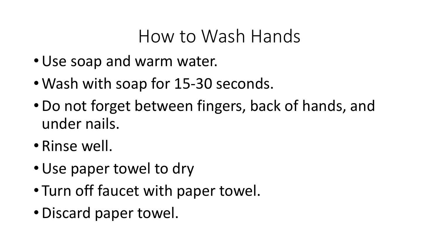### How to Wash Hands

- •Use soap and warm water.
- Wash with soap for 15-30 seconds.
- •Do not forget between fingers, back of hands, and under nails.
- Rinse well.
- •Use paper towel to dry
- Turn off faucet with paper towel.
- •Discard paper towel.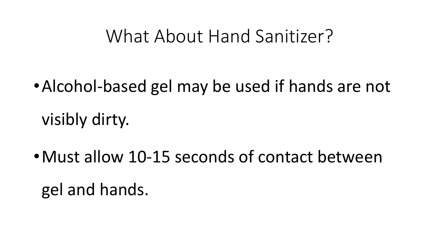#### What About Hand Sanitizer?

- •Alcohol-based gel may be used if hands are not visibly dirty.
- •Must allow 10-15 seconds of contact between gel and hands.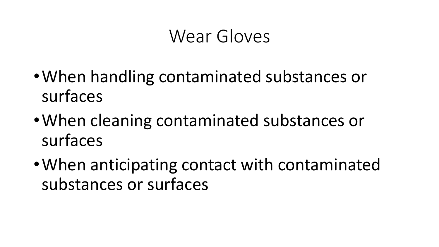#### Wear Gloves

- •When handling contaminated substances or surfaces
- •When cleaning contaminated substances or surfaces
- •When anticipating contact with contaminated substances or surfaces